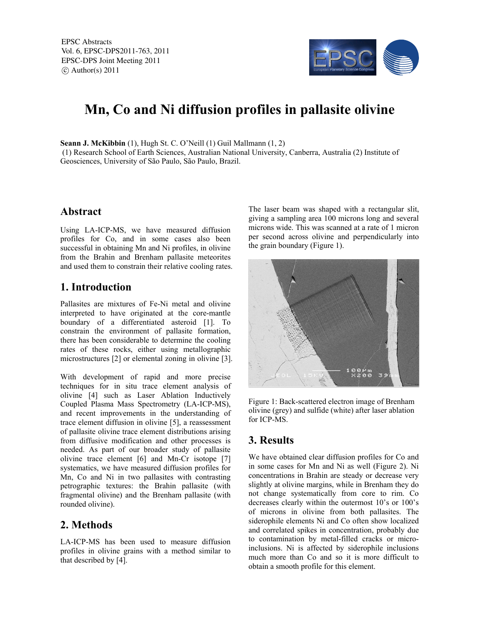

# **Mn, Co and Ni diffusion profiles in pallasite olivine**

**Seann J. McKibbin** (1), Hugh St. C. O'Neill (1) Guil Mallmann (1, 2)

(1) Research School of Earth Sciences, Australian National University, Canberra, Australia (2) Institute of Geosciences, University of São Paulo, São Paulo, Brazil.

### **Abstract**

Using LA-ICP-MS, we have measured diffusion profiles for Co, and in some cases also been successful in obtaining Mn and Ni profiles, in olivine from the Brahin and Brenham pallasite meteorites and used them to constrain their relative cooling rates.

### **1. Introduction**

Pallasites are mixtures of Fe-Ni metal and olivine interpreted to have originated at the core-mantle boundary of a differentiated asteroid [1]. To constrain the environment of pallasite formation, there has been considerable to determine the cooling rates of these rocks, either using metallographic microstructures [2] or elemental zoning in olivine [3].

With development of rapid and more precise techniques for in situ trace element analysis of olivine [4] such as Laser Ablation Inductively Coupled Plasma Mass Spectrometry (LA-ICP-MS), and recent improvements in the understanding of trace element diffusion in olivine [5], a reassessment of pallasite olivine trace element distributions arising from diffusive modification and other processes is needed. As part of our broader study of pallasite olivine trace element [6] and Mn-Cr isotope [7] systematics, we have measured diffusion profiles for Mn, Co and Ni in two pallasites with contrasting petrographic textures: the Brahin pallasite (with fragmental olivine) and the Brenham pallasite (with rounded olivine).

# **2. Methods**

LA-ICP-MS has been used to measure diffusion profiles in olivine grains with a method similar to that described by [4].

The laser beam was shaped with a rectangular slit, giving a sampling area 100 microns long and several microns wide. This was scanned at a rate of 1 micron per second across olivine and perpendicularly into the grain boundary (Figure 1).



Figure 1: Back-scattered electron image of Brenham olivine (grey) and sulfide (white) after laser ablation for ICP-MS.

# **3. Results**

We have obtained clear diffusion profiles for Co and in some cases for Mn and Ni as well (Figure 2). Ni concentrations in Brahin are steady or decrease very slightly at olivine margins, while in Brenham they do not change systematically from core to rim. Co decreases clearly within the outermost 10's or 100's of microns in olivine from both pallasites. The siderophile elements Ni and Co often show localized and correlated spikes in concentration, probably due to contamination by metal-filled cracks or microinclusions. Ni is affected by siderophile inclusions much more than Co and so it is more difficult to obtain a smooth profile for this element.